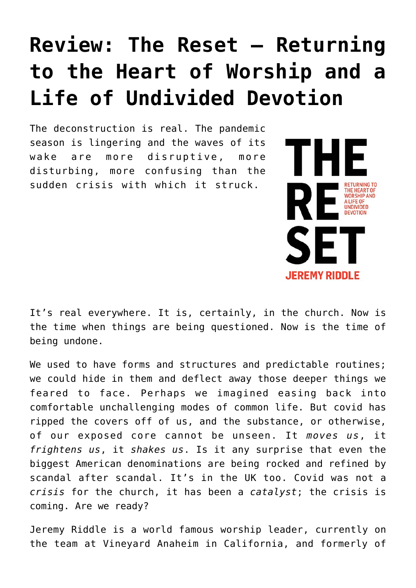## **[Review: The Reset – Returning](https://briggs.id.au/jour/2021/06/the-reset-returning-to-the-heart-of-worship-and-a-life-of-undivided-devotion/) [to the Heart of Worship and a](https://briggs.id.au/jour/2021/06/the-reset-returning-to-the-heart-of-worship-and-a-life-of-undivided-devotion/) [Life of Undivided Devotion](https://briggs.id.au/jour/2021/06/the-reset-returning-to-the-heart-of-worship-and-a-life-of-undivided-devotion/)**

The deconstruction is real. The pandemic season is lingering and the waves of its wake are more disruptive, more disturbing, more confusing than the sudden crisis with which it struck.



It's real everywhere. It is, certainly, in the church. Now is the time when things are being questioned. Now is the time of being undone.

We used to have forms and structures and predictable routines; we could hide in them and deflect away those deeper things we feared to face. Perhaps we imagined easing back into comfortable unchallenging modes of common life. But covid has ripped the covers off of us, and the substance, or otherwise, of our exposed core cannot be unseen. It *moves us*, it *frightens us*, it *shakes us*. Is it any surprise that even the biggest American denominations are being rocked and refined by scandal after scandal. It's in the UK too. Covid was not a *crisis* for the church, it has been a *catalyst*; the crisis is coming. Are we ready?

Jeremy Riddle is a world famous worship leader, currently on the team at Vineyard Anaheim in California, and formerly of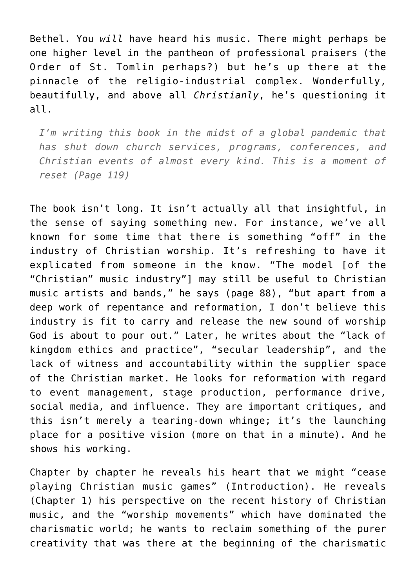Bethel. You *will* have heard his music. There might perhaps be one higher level in the pantheon of professional praisers (the Order of St. Tomlin perhaps?) but he's up there at the pinnacle of the religio-industrial complex. Wonderfully, beautifully, and above all *Christianly*, he's questioning it all.

*I'm writing this book in the midst of a global pandemic that has shut down church services, programs, conferences, and Christian events of almost every kind. This is a moment of reset (Page 119)*

The book isn't long. It isn't actually all that insightful, in the sense of saying something new. For instance, we've all known for some time that there is something "off" in the industry of Christian worship. It's refreshing to have it explicated from someone in the know. "The model [of the "Christian" music industry"] may still be useful to Christian music artists and bands," he says (page 88), "but apart from a deep work of repentance and reformation, I don't believe this industry is fit to carry and release the new sound of worship God is about to pour out." Later, he writes about the "lack of kingdom ethics and practice", "secular leadership", and the lack of witness and accountability within the supplier space of the Christian market. He looks for reformation with regard to event management, stage production, performance drive, social media, and influence. They are important critiques, and this isn't merely a tearing-down whinge; it's the launching place for a positive vision (more on that in a minute). And he shows his working.

Chapter by chapter he reveals his heart that we might "cease playing Christian music games" (Introduction). He reveals (Chapter 1) his perspective on the recent history of Christian music, and the "worship movements" which have dominated the charismatic world; he wants to reclaim something of the purer creativity that was there at the beginning of the charismatic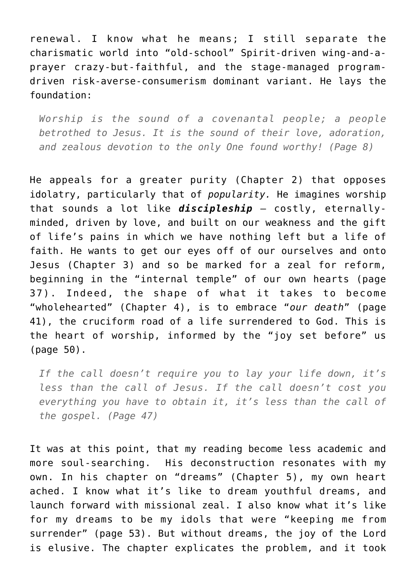renewal. I know what he means; I still separate the charismatic world into "old-school" Spirit-driven wing-and-aprayer crazy-but-faithful, and the stage-managed programdriven risk-averse-consumerism dominant variant. He lays the foundation:

*Worship is the sound of a covenantal people; a people betrothed to Jesus. It is the sound of their love, adoration, and zealous devotion to the only One found worthy! (Page 8)*

He appeals for a greater purity (Chapter 2) that opposes idolatry, particularly that of *popularity.* He imagines worship that sounds a lot like *discipleship* – costly, eternallyminded, driven by love, and built on our weakness and the gift of life's pains in which we have nothing left but a life of faith. He wants to get our eyes off of our ourselves and onto Jesus (Chapter 3) and so be marked for a zeal for reform, beginning in the "internal temple" of our own hearts (page 37). Indeed, the shape of what it takes to become "wholehearted" (Chapter 4), is to embrace "*our death*" (page 41), the cruciform road of a life surrendered to God. This is the heart of worship, informed by the "joy set before" us (page 50).

*If the call doesn't require you to lay your life down, it's less than the call of Jesus. If the call doesn't cost you everything you have to obtain it, it's less than the call of the gospel. (Page 47)*

It was at this point, that my reading become less academic and more soul-searching. His deconstruction resonates with my own. In his chapter on "dreams" (Chapter 5), my own heart ached. I know what it's like to dream youthful dreams, and launch forward with missional zeal. I also know what it's like for my dreams to be my idols that were "keeping me from surrender" (page 53). But without dreams, the joy of the Lord is elusive. The chapter explicates the problem, and it took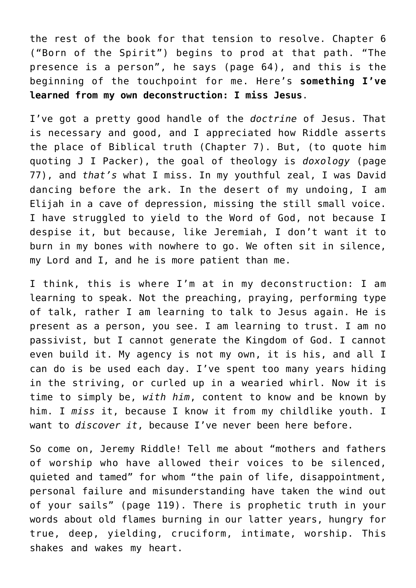the rest of the book for that tension to resolve. Chapter 6 ("Born of the Spirit") begins to prod at that path. "The presence is a person", he says (page 64), and this is the beginning of the touchpoint for me. Here's **something I've learned from my own deconstruction: I miss Jesus**.

I've got a pretty good handle of the *doctrine* of Jesus. That is necessary and good, and I appreciated how Riddle asserts the place of Biblical truth (Chapter 7). But, (to quote him quoting J I Packer), the goal of theology is *doxology* (page 77), and *that's* what I miss. In my youthful zeal, I was David dancing before the ark. In the desert of my undoing, I am Elijah in a cave of depression, missing the still small voice. I have struggled to yield to the Word of God, not because I despise it, but because, like Jeremiah, I don't want it to burn in my bones with nowhere to go. We often sit in silence, my Lord and I, and he is more patient than me.

I think, this is where I'm at in my deconstruction: I am learning to speak. Not the preaching, praying, performing type of talk, rather I am learning to talk to Jesus again. He is present as a person, you see. I am learning to trust. I am no passivist, but I cannot generate the Kingdom of God. I cannot even build it. My agency is not my own, it is his, and all I can do is be used each day. I've spent too many years hiding in the striving, or curled up in a wearied whirl. Now it is time to simply be, *with him*, content to know and be known by him. I *miss* it, because I know it from my childlike youth. I want to *discover it*, because I've never been here before.

So come on, Jeremy Riddle! Tell me about "mothers and fathers of worship who have allowed their voices to be silenced, quieted and tamed" for whom "the pain of life, disappointment, personal failure and misunderstanding have taken the wind out of your sails" (page 119). There is prophetic truth in your words about old flames burning in our latter years, hungry for true, deep, yielding, cruciform, intimate, worship. This shakes and wakes my heart.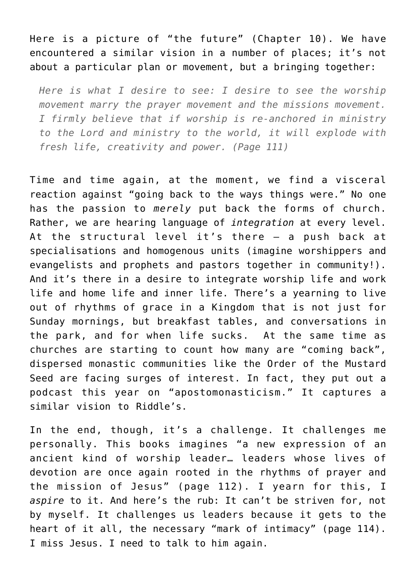Here is a picture of "the future" (Chapter 10). We have encountered a similar vision in a number of places; it's not about a particular plan or movement, but a bringing together:

*Here is what I desire to see: I desire to see the worship movement marry the prayer movement and the missions movement. I firmly believe that if worship is re-anchored in ministry to the Lord and ministry to the world, it will explode with fresh life, creativity and power. (Page 111)*

Time and time again, at the moment, we find a visceral reaction against "going back to the ways things were." No one has the passion to *merely* put back the forms of church. Rather, we are hearing language of *integration* at every level. At the structural level it's there – a push back at specialisations and homogenous units (imagine worshippers and evangelists and prophets and pastors together in community!). And it's there in a desire to integrate worship life and work life and home life and inner life. There's a yearning to live out of rhythms of grace in a Kingdom that is not just for Sunday mornings, but breakfast tables, and conversations in the park, and for when life sucks. At the same time as churches are starting to count how many are "coming back", dispersed monastic communities like the Order of the Mustard Seed are facing surges of interest. In fact, they put out a [podcast this yea](https://www.orderofthemustardseed.com/podcast/season-4-episode-1-joe-steinke-jill-weber-and-pete-greig-apostomonasticism/)r on "apostomonasticism." It captures a similar vision to Riddle's.

In the end, though, it's a challenge. It challenges me personally. This books imagines "a new expression of an ancient kind of worship leader… leaders whose lives of devotion are once again rooted in the rhythms of prayer and the mission of Jesus" (page 112). I yearn for this, I *aspire* to it. And here's the rub: It can't be striven for, not by myself. It challenges us leaders because it gets to the heart of it all, the necessary "mark of intimacy" (page 114). I miss Jesus. I need to talk to him again.